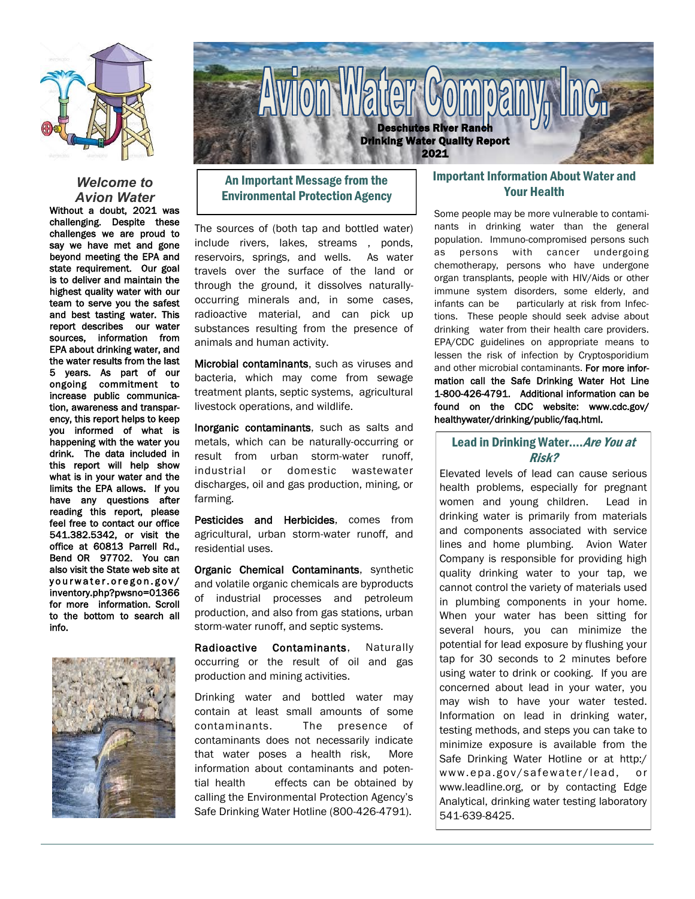

#### *Welcome to Avion Water*

Without a doubt, 2021 was challenging. Despite these challenges we are proud to say we have met and gone beyond meeting the EPA and state requirement. Our goal is to deliver and maintain the highest quality water with our team to serve you the safest and best tasting water. This report describes our water sources, information from EPA about drinking water, and the water results from the last 5 years. As part of our ongoing commitment to increase public communication, awareness and transparency, this report helps to keep you informed of what is happening with the water you drink. The data included in this report will help show what is in your water and the limits the EPA allows. If you have any questions after reading this report, please feel free to contact our office 541.382.5342, or visit the office at 60813 Parrell Rd., Bend OR 97702. You can also visit the State web site at yourwater.oregon.gov/ inventory.php?pwsno=01366 for more information. Scroll to the bottom to search all info.





# An Important Message from the Environmental Protection Agency

The sources of (both tap and bottled water) include rivers, lakes, streams , ponds, reservoirs, springs, and wells. As water travels over the surface of the land or through the ground, it dissolves naturallyoccurring minerals and, in some cases, radioactive material, and can pick up substances resulting from the presence of animals and human activity.

Microbial contaminants, such as viruses and bacteria, which may come from sewage treatment plants, septic systems, agricultural livestock operations, and wildlife.

Inorganic contaminants, such as salts and metals, which can be naturally-occurring or result from urban storm-water runoff, industrial or domestic wastewater discharges, oil and gas production, mining, or farming.

Pesticides and Herbicides, comes from agricultural, urban storm-water runoff, and residential uses.

Organic Chemical Contaminants, synthetic and volatile organic chemicals are byproducts of industrial processes and petroleum production, and also from gas stations, urban storm-water runoff, and septic systems.

Radioactive Contaminants, Naturally occurring or the result of oil and gas production and mining activities.

Drinking water and bottled water may contain at least small amounts of some contaminants. The presence of contaminants does not necessarily indicate that water poses a health risk, More information about contaminants and potential health effects can be obtained by calling the Environmental Protection Agency's Safe Drinking Water Hotline (800-426-4791).

## Important Information About Water and Your Health

Some people may be more vulnerable to contaminants in drinking water than the general population. Immuno-compromised persons such as persons with cancer undergoing chemotherapy, persons who have undergone organ transplants, people with HIV/Aids or other immune system disorders, some elderly, and infants can be particularly at risk from Infections. These people should seek advise about drinking water from their health care providers. EPA/CDC guidelines on appropriate means to lessen the risk of infection by Cryptosporidium and other microbial contaminants. For more information call the Safe Drinking Water Hot Line 1-800-426-4791. Additional information can be found on the CDC website: www.cdc.gov/ healthywater/drinking/public/faq.html.

## Lead in Drinking Water.... Are You at Risk?

Elevated levels of lead can cause serious health problems, especially for pregnant women and young children. Lead in drinking water is primarily from materials and components associated with service lines and home plumbing. Avion Water Company is responsible for providing high quality drinking water to your tap, we cannot control the variety of materials used in plumbing components in your home. When your water has been sitting for several hours, you can minimize the potential for lead exposure by flushing your tap for 30 seconds to 2 minutes before using water to drink or cooking. If you are concerned about lead in your water, you may wish to have your water tested. Information on lead in drinking water, testing methods, and steps you can take to minimize exposure is available from the Safe Drinking Water Hotline or at http:/ www.epa.gov/safewater/lead, or www.leadline.org, or by contacting Edge Analytical, drinking water testing laboratory 541-639-8425.